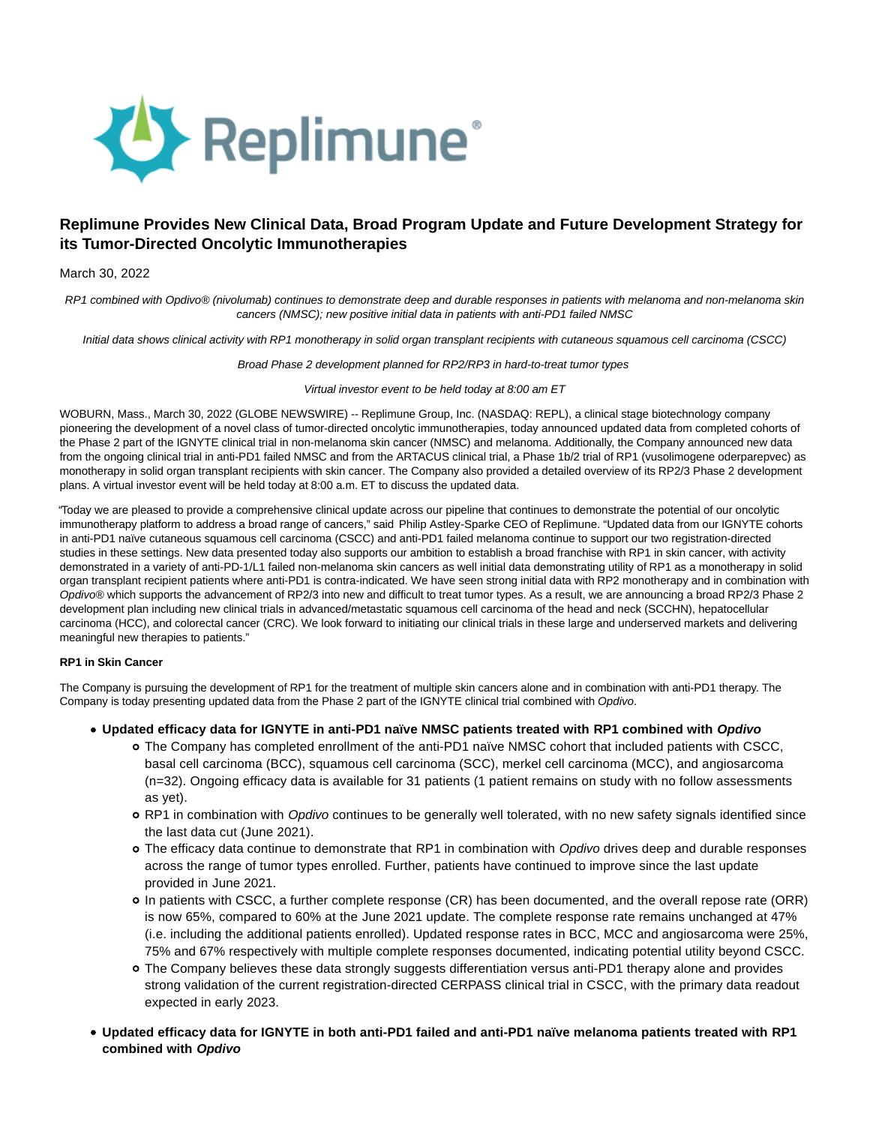

# **Replimune Provides New Clinical Data, Broad Program Update and Future Development Strategy for its Tumor-Directed Oncolytic Immunotherapies**

# March 30, 2022

RP1 combined with Opdivo® (nivolumab) continues to demonstrate deep and durable responses in patients with melanoma and non-melanoma skin cancers (NMSC); new positive initial data in patients with anti-PD1 failed NMSC

Initial data shows clinical activity with RP1 monotherapy in solid organ transplant recipients with cutaneous squamous cell carcinoma (CSCC)

#### Broad Phase 2 development planned for RP2/RP3 in hard-to-treat tumor types

#### Virtual investor event to be held today at 8:00 am ET

WOBURN, Mass., March 30, 2022 (GLOBE NEWSWIRE) -- Replimune Group, Inc. (NASDAQ: REPL), a clinical stage biotechnology company pioneering the development of a novel class of tumor-directed oncolytic immunotherapies, today announced updated data from completed cohorts of the Phase 2 part of the IGNYTE clinical trial in non-melanoma skin cancer (NMSC) and melanoma. Additionally, the Company announced new data from the ongoing clinical trial in anti-PD1 failed NMSC and from the ARTACUS clinical trial, a Phase 1b/2 trial of RP1 (vusolimogene oderparepvec) as monotherapy in solid organ transplant recipients with skin cancer. The Company also provided a detailed overview of its RP2/3 Phase 2 development plans. A virtual investor event will be held today at 8:00 a.m. ET to discuss the updated data.

"Today we are pleased to provide a comprehensive clinical update across our pipeline that continues to demonstrate the potential of our oncolytic immunotherapy platform to address a broad range of cancers," said Philip Astley-Sparke CEO of Replimune. "Updated data from our IGNYTE cohorts in anti-PD1 naïve cutaneous squamous cell carcinoma (CSCC) and anti-PD1 failed melanoma continue to support our two registration-directed studies in these settings. New data presented today also supports our ambition to establish a broad franchise with RP1 in skin cancer, with activity demonstrated in a variety of anti-PD-1/L1 failed non-melanoma skin cancers as well initial data demonstrating utility of RP1 as a monotherapy in solid organ transplant recipient patients where anti-PD1 is contra-indicated. We have seen strong initial data with RP2 monotherapy and in combination with Opdivo® which supports the advancement of RP2/3 into new and difficult to treat tumor types. As a result, we are announcing a broad RP2/3 Phase 2 development plan including new clinical trials in advanced/metastatic squamous cell carcinoma of the head and neck (SCCHN), hepatocellular carcinoma (HCC), and colorectal cancer (CRC). We look forward to initiating our clinical trials in these large and underserved markets and delivering meaningful new therapies to patients."

# **RP1 in Skin Cancer**

The Company is pursuing the development of RP1 for the treatment of multiple skin cancers alone and in combination with anti-PD1 therapy. The Company is today presenting updated data from the Phase 2 part of the IGNYTE clinical trial combined with Opdivo.

- **Updated efficacy data for IGNYTE in anti-PD1 naïve NMSC patients treated with RP1 combined with Opdivo**
	- The Company has completed enrollment of the anti-PD1 naïve NMSC cohort that included patients with CSCC, basal cell carcinoma (BCC), squamous cell carcinoma (SCC), merkel cell carcinoma (MCC), and angiosarcoma (n=32). Ongoing efficacy data is available for 31 patients (1 patient remains on study with no follow assessments as yet).
	- o RP1 in combination with Opdivo continues to be generally well tolerated, with no new safety signals identified since the last data cut (June 2021).
	- o The efficacy data continue to demonstrate that RP1 in combination with Opdivo drives deep and durable responses across the range of tumor types enrolled. Further, patients have continued to improve since the last update provided in June 2021.
	- In patients with CSCC, a further complete response (CR) has been documented, and the overall repose rate (ORR) is now 65%, compared to 60% at the June 2021 update. The complete response rate remains unchanged at 47% (i.e. including the additional patients enrolled). Updated response rates in BCC, MCC and angiosarcoma were 25%, 75% and 67% respectively with multiple complete responses documented, indicating potential utility beyond CSCC.
	- The Company believes these data strongly suggests differentiation versus anti-PD1 therapy alone and provides strong validation of the current registration-directed CERPASS clinical trial in CSCC, with the primary data readout expected in early 2023.
- **Updated efficacy data for IGNYTE in both anti-PD1 failed and anti-PD1 naïve melanoma patients treated with RP1 combined with Opdivo**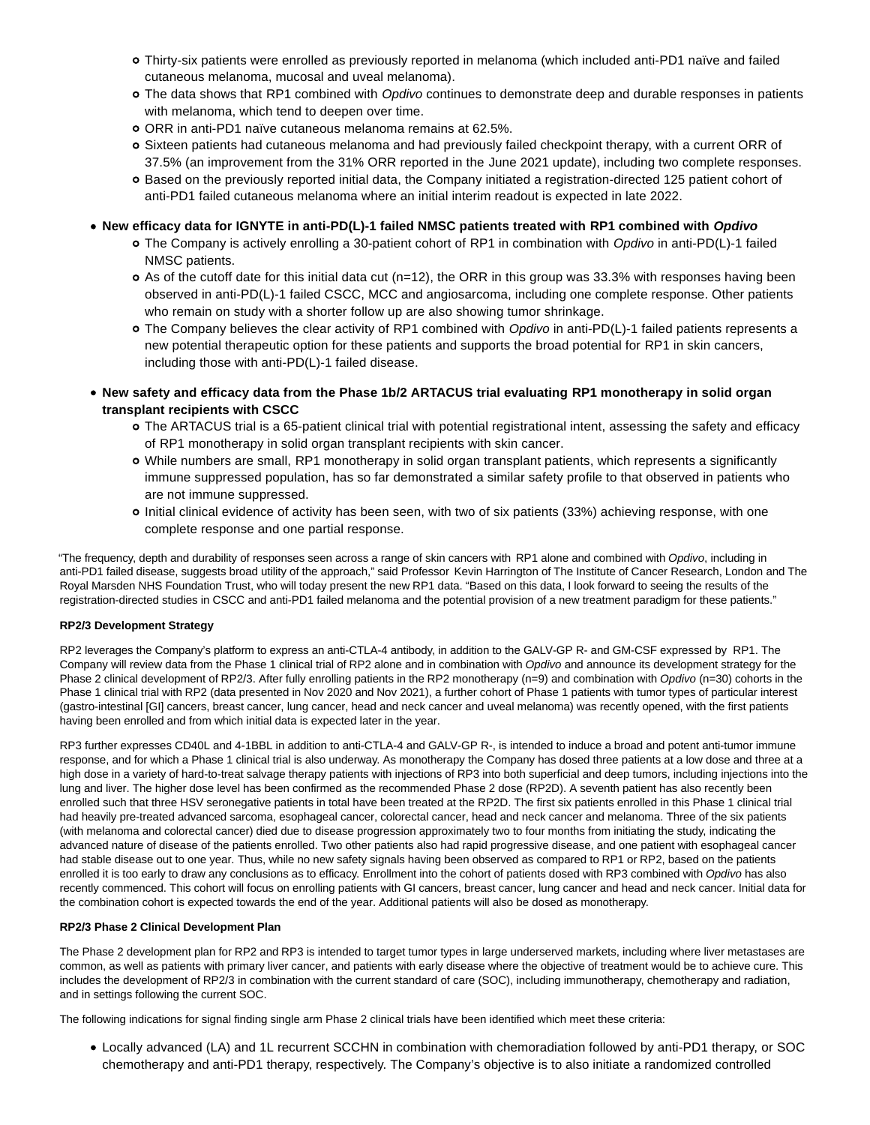- Thirty-six patients were enrolled as previously reported in melanoma (which included anti-PD1 naïve and failed cutaneous melanoma, mucosal and uveal melanoma).
- o The data shows that RP1 combined with Opdivo continues to demonstrate deep and durable responses in patients with melanoma, which tend to deepen over time.
- ORR in anti-PD1 naïve cutaneous melanoma remains at 62.5%.
- Sixteen patients had cutaneous melanoma and had previously failed checkpoint therapy, with a current ORR of 37.5% (an improvement from the 31% ORR reported in the June 2021 update), including two complete responses.
- Based on the previously reported initial data, the Company initiated a registration-directed 125 patient cohort of anti-PD1 failed cutaneous melanoma where an initial interim readout is expected in late 2022.

**New efficacy data for IGNYTE in anti-PD(L)-1 failed NMSC patients treated with RP1 combined with Opdivo**

- The Company is actively enrolling a 30-patient cohort of RP1 in combination with Opdivo in anti-PD(L)-1 failed NMSC patients.
- $\circ$  As of the cutoff date for this initial data cut (n=12), the ORR in this group was 33.3% with responses having been observed in anti-PD(L)-1 failed CSCC, MCC and angiosarcoma, including one complete response. Other patients who remain on study with a shorter follow up are also showing tumor shrinkage.
- o The Company believes the clear activity of RP1 combined with Opdivo in anti-PD(L)-1 failed patients represents a new potential therapeutic option for these patients and supports the broad potential for RP1 in skin cancers, including those with anti-PD(L)-1 failed disease.
- **New safety and efficacy data from the Phase 1b/2 ARTACUS trial evaluating RP1 monotherapy in solid organ transplant recipients with CSCC**
	- The ARTACUS trial is a 65-patient clinical trial with potential registrational intent, assessing the safety and efficacy of RP1 monotherapy in solid organ transplant recipients with skin cancer.
	- While numbers are small, RP1 monotherapy in solid organ transplant patients, which represents a significantly immune suppressed population, has so far demonstrated a similar safety profile to that observed in patients who are not immune suppressed.
	- o Initial clinical evidence of activity has been seen, with two of six patients (33%) achieving response, with one complete response and one partial response.

"The frequency, depth and durability of responses seen across a range of skin cancers with RP1 alone and combined with Opdivo, including in anti-PD1 failed disease, suggests broad utility of the approach," said Professor Kevin Harrington of The Institute of Cancer Research, London and The Royal Marsden NHS Foundation Trust, who will today present the new RP1 data. "Based on this data, I look forward to seeing the results of the registration-directed studies in CSCC and anti-PD1 failed melanoma and the potential provision of a new treatment paradigm for these patients."

# **RP2/3 Development Strategy**

RP2 leverages the Company's platform to express an anti-CTLA-4 antibody, in addition to the GALV-GP R- and GM-CSF expressed by RP1. The Company will review data from the Phase 1 clinical trial of RP2 alone and in combination with Opdivo and announce its development strategy for the Phase 2 clinical development of RP2/3. After fully enrolling patients in the RP2 monotherapy (n=9) and combination with Opdivo (n=30) cohorts in the Phase 1 clinical trial with RP2 (data presented in Nov 2020 and Nov 2021), a further cohort of Phase 1 patients with tumor types of particular interest (gastro-intestinal [GI] cancers, breast cancer, lung cancer, head and neck cancer and uveal melanoma) was recently opened, with the first patients having been enrolled and from which initial data is expected later in the year.

RP3 further expresses CD40L and 4-1BBL in addition to anti-CTLA-4 and GALV-GP R-, is intended to induce a broad and potent anti-tumor immune response, and for which a Phase 1 clinical trial is also underway. As monotherapy the Company has dosed three patients at a low dose and three at a high dose in a variety of hard-to-treat salvage therapy patients with injections of RP3 into both superficial and deep tumors, including injections into the lung and liver. The higher dose level has been confirmed as the recommended Phase 2 dose (RP2D). A seventh patient has also recently been enrolled such that three HSV seronegative patients in total have been treated at the RP2D. The first six patients enrolled in this Phase 1 clinical trial had heavily pre-treated advanced sarcoma, esophageal cancer, colorectal cancer, head and neck cancer and melanoma. Three of the six patients (with melanoma and colorectal cancer) died due to disease progression approximately two to four months from initiating the study, indicating the advanced nature of disease of the patients enrolled. Two other patients also had rapid progressive disease, and one patient with esophageal cancer had stable disease out to one year. Thus, while no new safety signals having been observed as compared to RP1 or RP2, based on the patients enrolled it is too early to draw any conclusions as to efficacy. Enrollment into the cohort of patients dosed with RP3 combined with Opdivo has also recently commenced. This cohort will focus on enrolling patients with GI cancers, breast cancer, lung cancer and head and neck cancer. Initial data for the combination cohort is expected towards the end of the year. Additional patients will also be dosed as monotherapy.

# **RP2/3 Phase 2 Clinical Development Plan**

The Phase 2 development plan for RP2 and RP3 is intended to target tumor types in large underserved markets, including where liver metastases are common, as well as patients with primary liver cancer, and patients with early disease where the objective of treatment would be to achieve cure. This includes the development of RP2/3 in combination with the current standard of care (SOC), including immunotherapy, chemotherapy and radiation, and in settings following the current SOC.

The following indications for signal finding single arm Phase 2 clinical trials have been identified which meet these criteria:

Locally advanced (LA) and 1L recurrent SCCHN in combination with chemoradiation followed by anti-PD1 therapy, or SOC chemotherapy and anti-PD1 therapy, respectively. The Company's objective is to also initiate a randomized controlled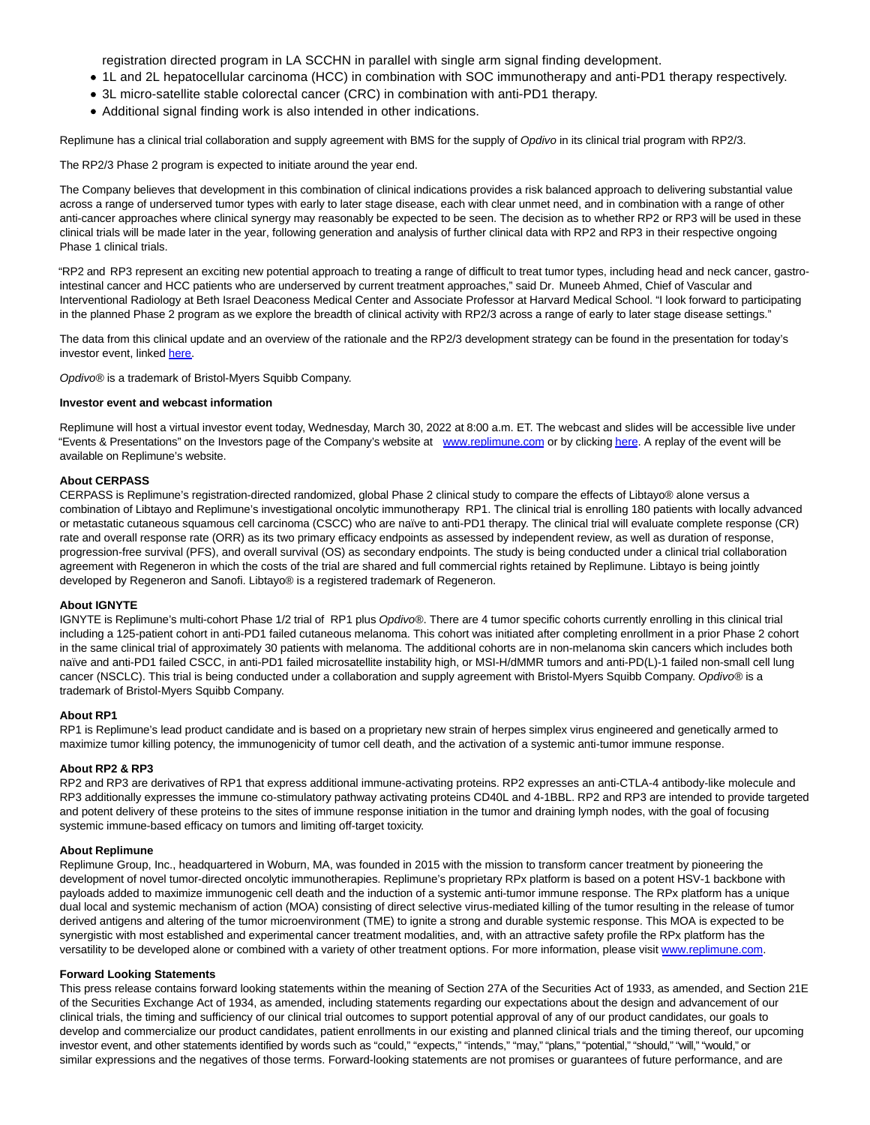registration directed program in LA SCCHN in parallel with single arm signal finding development.

- 1L and 2L hepatocellular carcinoma (HCC) in combination with SOC immunotherapy and anti-PD1 therapy respectively.
- 3L micro-satellite stable colorectal cancer (CRC) in combination with anti-PD1 therapy.
- Additional signal finding work is also intended in other indications.

Replimune has a clinical trial collaboration and supply agreement with BMS for the supply of Opdivo in its clinical trial program with RP2/3.

The RP2/3 Phase 2 program is expected to initiate around the year end.

The Company believes that development in this combination of clinical indications provides a risk balanced approach to delivering substantial value across a range of underserved tumor types with early to later stage disease, each with clear unmet need, and in combination with a range of other anti-cancer approaches where clinical synergy may reasonably be expected to be seen. The decision as to whether RP2 or RP3 will be used in these clinical trials will be made later in the year, following generation and analysis of further clinical data with RP2 and RP3 in their respective ongoing Phase 1 clinical trials.

"RP2 and RP3 represent an exciting new potential approach to treating a range of difficult to treat tumor types, including head and neck cancer, gastrointestinal cancer and HCC patients who are underserved by current treatment approaches," said Dr. Muneeb Ahmed, Chief of Vascular and Interventional Radiology at Beth Israel Deaconess Medical Center and Associate Professor at Harvard Medical School. "I look forward to participating in the planned Phase 2 program as we explore the breadth of clinical activity with RP2/3 across a range of early to later stage disease settings."

The data from this clinical update and an overview of the rationale and the RP2/3 development strategy can be found in the presentation for today's investor event, linked [here.](https://www.globenewswire.com/Tracker?data=n8r5sZ0pvUPws_JDAH6Wqx8r0FqgGlrHwj3AC-YPffOpJZcZxrwfZkkLJuSFe_eOfBkf_s92po8BVIFUo19jrUizmPRhhPUbugyXijw6EsRdhibhMQfYcY_q5X_9v2UCIugeX1JFCbaa18GbouuTaA==)

Opdivo® is a trademark of Bristol-Myers Squibb Company.

#### **Investor event and webcast information**

Replimune will host a virtual investor event today, Wednesday, March 30, 2022 at 8:00 a.m. ET. The webcast and slides will be accessible live under "Events & Presentations" on the Investors page of the Company's website at [www.replimune.com o](http://www.replimune.com/)r by clickin[g here.](https://www.globenewswire.com/Tracker?data=NqHNJBBre1ORAEthO3CPXsul49cY3x_8658golZXZCooX5oNT6tT7F8a2A4w0BQOOSt1F9Zsjpr1dMxxB-UvMqjZeGyYSfMwv7MQf2uNBr4=) A replay of the event will be available on Replimune's website.

#### **About CERPASS**

CERPASS is Replimune's registration-directed randomized, global Phase 2 clinical study to compare the effects of Libtayo® alone versus a combination of Libtayo and Replimune's investigational oncolytic immunotherapy RP1. The clinical trial is enrolling 180 patients with locally advanced or metastatic cutaneous squamous cell carcinoma (CSCC) who are naïve to anti-PD1 therapy. The clinical trial will evaluate complete response (CR) rate and overall response rate (ORR) as its two primary efficacy endpoints as assessed by independent review, as well as duration of response, progression-free survival (PFS), and overall survival (OS) as secondary endpoints. The study is being conducted under a clinical trial collaboration agreement with Regeneron in which the costs of the trial are shared and full commercial rights retained by Replimune. Libtayo is being jointly developed by Regeneron and Sanofi. Libtayo® is a registered trademark of Regeneron.

#### **About IGNYTE**

IGNYTE is Replimune's multi-cohort Phase 1/2 trial of RP1 plus Opdivo®. There are 4 tumor specific cohorts currently enrolling in this clinical trial including a 125-patient cohort in anti-PD1 failed cutaneous melanoma. This cohort was initiated after completing enrollment in a prior Phase 2 cohort in the same clinical trial of approximately 30 patients with melanoma. The additional cohorts are in non-melanoma skin cancers which includes both naïve and anti-PD1 failed CSCC, in anti-PD1 failed microsatellite instability high, or MSI-H/dMMR tumors and anti-PD(L)-1 failed non-small cell lung cancer (NSCLC). This trial is being conducted under a collaboration and supply agreement with Bristol-Myers Squibb Company. Opdivo® is a trademark of Bristol-Myers Squibb Company.

#### **About RP1**

RP1 is Replimune's lead product candidate and is based on a proprietary new strain of herpes simplex virus engineered and genetically armed to maximize tumor killing potency, the immunogenicity of tumor cell death, and the activation of a systemic anti-tumor immune response.

#### **About RP2 & RP3**

RP2 and RP3 are derivatives of RP1 that express additional immune-activating proteins. RP2 expresses an anti-CTLA-4 antibody-like molecule and RP3 additionally expresses the immune co-stimulatory pathway activating proteins CD40L and 4-1BBL. RP2 and RP3 are intended to provide targeted and potent delivery of these proteins to the sites of immune response initiation in the tumor and draining lymph nodes, with the goal of focusing systemic immune-based efficacy on tumors and limiting off-target toxicity.

#### **About Replimune**

Replimune Group, Inc., headquartered in Woburn, MA, was founded in 2015 with the mission to transform cancer treatment by pioneering the development of novel tumor-directed oncolytic immunotherapies. Replimune's proprietary RPx platform is based on a potent HSV-1 backbone with payloads added to maximize immunogenic cell death and the induction of a systemic anti-tumor immune response. The RPx platform has a unique dual local and systemic mechanism of action (MOA) consisting of direct selective virus-mediated killing of the tumor resulting in the release of tumor derived antigens and altering of the tumor microenvironment (TME) to ignite a strong and durable systemic response. This MOA is expected to be synergistic with most established and experimental cancer treatment modalities, and, with an attractive safety profile the RPx platform has the versatility to be developed alone or combined with a variety of other treatment options. For more information, please visit [www.replimune.com.](http://www.replimune.com/)

# **Forward Looking Statements**

This press release contains forward looking statements within the meaning of Section 27A of the Securities Act of 1933, as amended, and Section 21E of the Securities Exchange Act of 1934, as amended, including statements regarding our expectations about the design and advancement of our clinical trials, the timing and sufficiency of our clinical trial outcomes to support potential approval of any of our product candidates, our goals to develop and commercialize our product candidates, patient enrollments in our existing and planned clinical trials and the timing thereof, our upcoming investor event, and other statements identified by words such as "could," "expects," "intends," "may," "plans," "potential," "should," "will," "would," or similar expressions and the negatives of those terms. Forward-looking statements are not promises or guarantees of future performance, and are